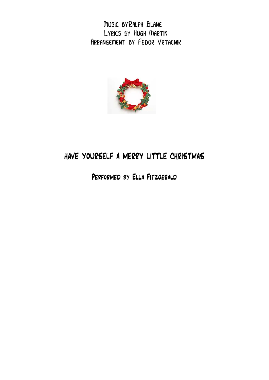Music byRalph Blane Lyrics by Hugh Martin Arrangement by Fedor Vrtacnik



## HAVE YOURSELF A MERRY LITTLE CHRISTMAS

Performed by Ella Fitzgerald